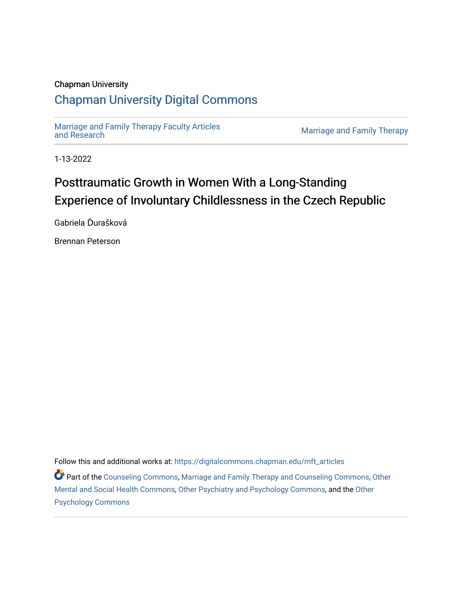# Chapman University

# [Chapman University Digital Commons](https://digitalcommons.chapman.edu/)

[Marriage and Family Therapy Faculty Articles](https://digitalcommons.chapman.edu/mft_articles)

Marriage and Family Therapy

1-13-2022

# Posttraumatic Growth in Women With a Long-Standing Experience of Involuntary Childlessness in the Czech Republic

Gabriela Ďurašková

Brennan Peterson

Follow this and additional works at: [https://digitalcommons.chapman.edu/mft\\_articles](https://digitalcommons.chapman.edu/mft_articles?utm_source=digitalcommons.chapman.edu%2Fmft_articles%2F16&utm_medium=PDF&utm_campaign=PDFCoverPages) 

Part of the [Counseling Commons,](http://network.bepress.com/hgg/discipline/1268?utm_source=digitalcommons.chapman.edu%2Fmft_articles%2F16&utm_medium=PDF&utm_campaign=PDFCoverPages) [Marriage and Family Therapy and Counseling Commons](http://network.bepress.com/hgg/discipline/715?utm_source=digitalcommons.chapman.edu%2Fmft_articles%2F16&utm_medium=PDF&utm_campaign=PDFCoverPages), [Other](http://network.bepress.com/hgg/discipline/717?utm_source=digitalcommons.chapman.edu%2Fmft_articles%2F16&utm_medium=PDF&utm_campaign=PDFCoverPages) [Mental and Social Health Commons,](http://network.bepress.com/hgg/discipline/717?utm_source=digitalcommons.chapman.edu%2Fmft_articles%2F16&utm_medium=PDF&utm_campaign=PDFCoverPages) [Other Psychiatry and Psychology Commons](http://network.bepress.com/hgg/discipline/992?utm_source=digitalcommons.chapman.edu%2Fmft_articles%2F16&utm_medium=PDF&utm_campaign=PDFCoverPages), and the [Other](http://network.bepress.com/hgg/discipline/415?utm_source=digitalcommons.chapman.edu%2Fmft_articles%2F16&utm_medium=PDF&utm_campaign=PDFCoverPages)  [Psychology Commons](http://network.bepress.com/hgg/discipline/415?utm_source=digitalcommons.chapman.edu%2Fmft_articles%2F16&utm_medium=PDF&utm_campaign=PDFCoverPages)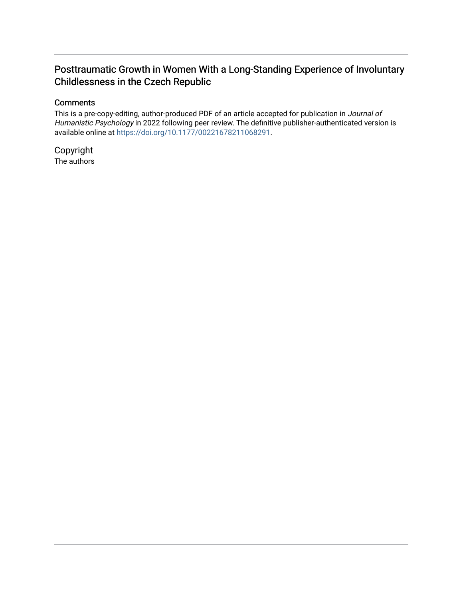# Posttraumatic Growth in Women With a Long-Standing Experience of Involuntary Childlessness in the Czech Republic

## **Comments**

This is a pre-copy-editing, author-produced PDF of an article accepted for publication in Journal of Humanistic Psychology in 2022 following peer review. The definitive publisher-authenticated version is available online at [https://doi.org/10.1177/00221678211068291.](https://doi.org/10.1177/00221678211068291)

Copyright The authors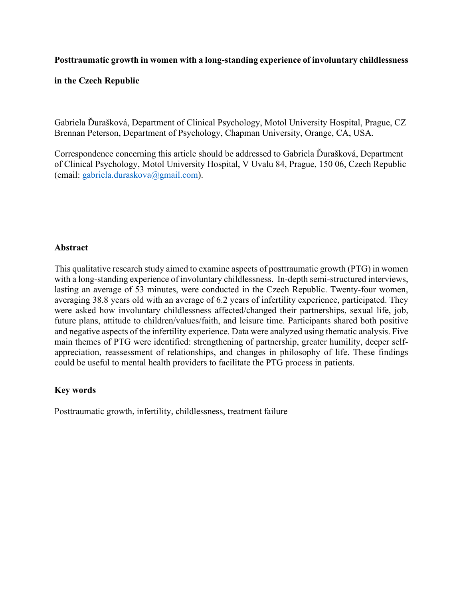# **Posttraumatic growth in women with a long-standing experience of involuntary childlessness**

## **in the Czech Republic**

Gabriela Ďurašková, Department of Clinical Psychology, Motol University Hospital, Prague, CZ Brennan Peterson, Department of Psychology, Chapman University, Orange, CA, USA.

Correspondence concerning this article should be addressed to Gabriela Ďurašková, Department of Clinical Psychology, Motol University Hospital, V Uvalu 84, Prague, 150 06, Czech Republic (email: [gabriela.duraskova@gmail.com\)](mailto:gabriela.duraskova@gmail.com).

# **Abstract**

This qualitative research study aimed to examine aspects of posttraumatic growth (PTG) in women with a long-standing experience of involuntary childlessness. In-depth semi-structured interviews, lasting an average of 53 minutes, were conducted in the Czech Republic. Twenty-four women, averaging 38.8 years old with an average of 6.2 years of infertility experience, participated. They were asked how involuntary childlessness affected/changed their partnerships, sexual life, job, future plans, attitude to children/values/faith, and leisure time. Participants shared both positive and negative aspects of the infertility experience. Data were analyzed using thematic analysis. Five main themes of PTG were identified: strengthening of partnership, greater humility, deeper selfappreciation, reassessment of relationships, and changes in philosophy of life. These findings could be useful to mental health providers to facilitate the PTG process in patients.

### **Key words**

Posttraumatic growth, infertility, childlessness, treatment failure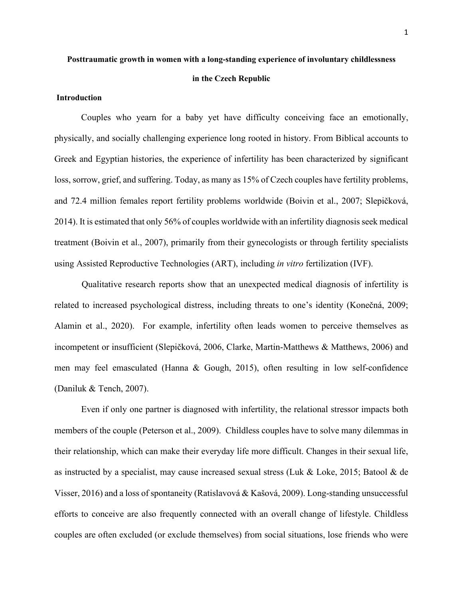# **Posttraumatic growth in women with a long-standing experience of involuntary childlessness**

# **in the Czech Republic**

#### **Introduction**

Couples who yearn for a baby yet have difficulty conceiving face an emotionally, physically, and socially challenging experience long rooted in history. From Biblical accounts to Greek and Egyptian histories, the experience of infertility has been characterized by significant loss, sorrow, grief, and suffering. Today, as many as 15% of Czech couples have fertility problems, and 72.4 million females report fertility problems worldwide (Boivin et al., 2007; Slepičková, 2014). It is estimated that only 56% of couples worldwide with an infertility diagnosis seek medical treatment (Boivin et al., 2007), primarily from their gynecologists or through fertility specialists using Assisted Reproductive Technologies (ART), including *in vitro* fertilization (IVF).

Qualitative research reports show that an unexpected medical diagnosis of infertility is related to increased psychological distress, including threats to one's identity (Konečná, 2009; Alamin et al., 2020). For example, infertility often leads women to perceive themselves as incompetent or insufficient (Slepičková, 2006, Clarke, Martin-Matthews & Matthews, 2006) and men may feel emasculated (Hanna & Gough, 2015), often resulting in low self-confidence (Daniluk & Tench, 2007).

Even if only one partner is diagnosed with infertility, the relational stressor impacts both members of the couple (Peterson et al., 2009). Childless couples have to solve many dilemmas in their relationship, which can make their everyday life more difficult. Changes in their sexual life, as instructed by a specialist, may cause increased sexual stress (Luk & Loke, 2015; Batool & de Visser, 2016) and a loss of spontaneity (Ratislavová & Kašová, 2009). Long-standing unsuccessful efforts to conceive are also frequently connected with an overall change of lifestyle. Childless couples are often excluded (or exclude themselves) from social situations, lose friends who were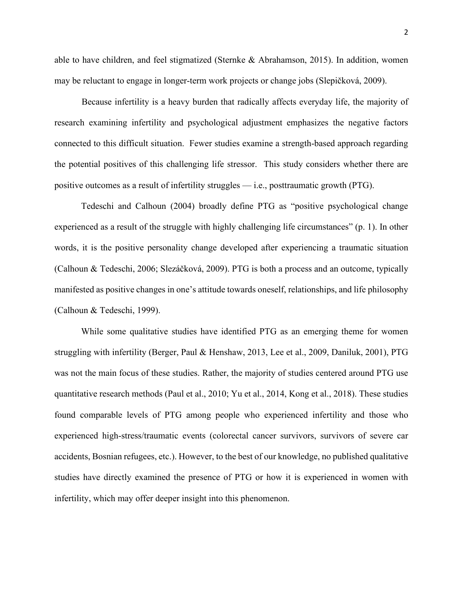able to have children, and feel stigmatized (Sternke & Abrahamson, 2015). In addition, women may be reluctant to engage in longer-term work projects or change jobs (Slepičková, 2009).

Because infertility is a heavy burden that radically affects everyday life, the majority of research examining infertility and psychological adjustment emphasizes the negative factors connected to this difficult situation. Fewer studies examine a strength-based approach regarding the potential positives of this challenging life stressor. This study considers whether there are positive outcomes as a result of infertility struggles — i.e., posttraumatic growth (PTG).

Tedeschi and Calhoun (2004) broadly define PTG as "positive psychological change experienced as a result of the struggle with highly challenging life circumstances" (p. 1). In other words, it is the positive personality change developed after experiencing a traumatic situation (Calhoun & Tedeschi, 2006; Slezáčková, 2009). PTG is both a process and an outcome, typically manifested as positive changes in one's attitude towards oneself, relationships, and life philosophy (Calhoun & Tedeschi, 1999).

While some qualitative studies have identified PTG as an emerging theme for women struggling with infertility (Berger, Paul & Henshaw, 2013, Lee et al., 2009, Daniluk, 2001), PTG was not the main focus of these studies. Rather, the majority of studies centered around PTG use quantitative research methods (Paul et al., 2010; Yu et al., 2014, Kong et al., 2018). These studies found comparable levels of PTG among people who experienced infertility and those who experienced high-stress/traumatic events (colorectal cancer survivors, survivors of severe car accidents, Bosnian refugees, etc.). However, to the best of our knowledge, no published qualitative studies have directly examined the presence of PTG or how it is experienced in women with infertility, which may offer deeper insight into this phenomenon.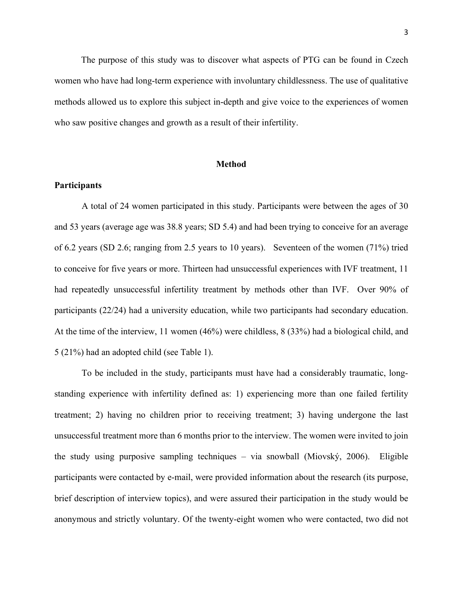The purpose of this study was to discover what aspects of PTG can be found in Czech women who have had long-term experience with involuntary childlessness. The use of qualitative methods allowed us to explore this subject in-depth and give voice to the experiences of women who saw positive changes and growth as a result of their infertility.

#### **Method**

#### **Participants**

A total of 24 women participated in this study. Participants were between the ages of 30 and 53 years (average age was 38.8 years; SD 5.4) and had been trying to conceive for an average of 6.2 years (SD 2.6; ranging from 2.5 years to 10 years). Seventeen of the women (71%) tried to conceive for five years or more. Thirteen had unsuccessful experiences with IVF treatment, 11 had repeatedly unsuccessful infertility treatment by methods other than IVF. Over 90% of participants (22/24) had a university education, while two participants had secondary education. At the time of the interview, 11 women (46%) were childless, 8 (33%) had a biological child, and 5 (21%) had an adopted child (see Table 1).

To be included in the study, participants must have had a considerably traumatic, longstanding experience with infertility defined as: 1) experiencing more than one failed fertility treatment; 2) having no children prior to receiving treatment; 3) having undergone the last unsuccessful treatment more than 6 months prior to the interview. The women were invited to join the study using purposive sampling techniques – via snowball (Miovský, 2006). Eligible participants were contacted by e-mail, were provided information about the research (its purpose, brief description of interview topics), and were assured their participation in the study would be anonymous and strictly voluntary. Of the twenty-eight women who were contacted, two did not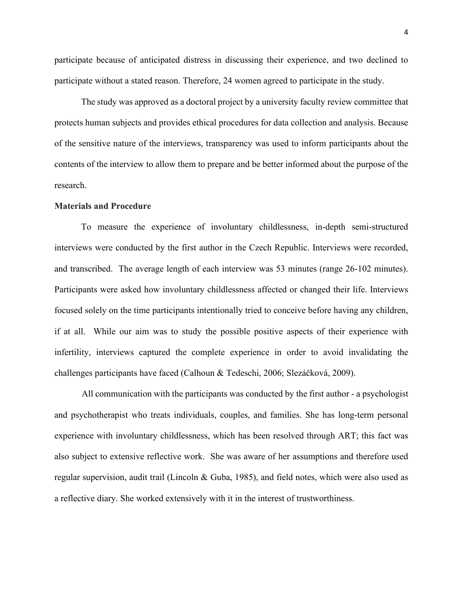participate because of anticipated distress in discussing their experience, and two declined to participate without a stated reason. Therefore, 24 women agreed to participate in the study.

The study was approved as a doctoral project by a university faculty review committee that protects human subjects and provides ethical procedures for data collection and analysis. Because of the sensitive nature of the interviews, transparency was used to inform participants about the contents of the interview to allow them to prepare and be better informed about the purpose of the research.

#### **Materials and Procedure**

To measure the experience of involuntary childlessness, in-depth semi-structured interviews were conducted by the first author in the Czech Republic. Interviews were recorded, and transcribed. The average length of each interview was 53 minutes (range 26-102 minutes). Participants were asked how involuntary childlessness affected or changed their life. Interviews focused solely on the time participants intentionally tried to conceive before having any children, if at all. While our aim was to study the possible positive aspects of their experience with infertility, interviews captured the complete experience in order to avoid invalidating the challenges participants have faced (Calhoun & Tedeschi, 2006; Slezáčková, 2009).

All communication with the participants was conducted by the first author - a psychologist and psychotherapist who treats individuals, couples, and families. She has long-term personal experience with involuntary childlessness, which has been resolved through ART; this fact was also subject to extensive reflective work. She was aware of her assumptions and therefore used regular supervision, audit trail (Lincoln & Guba, 1985), and field notes, which were also used as a reflective diary. She worked extensively with it in the interest of trustworthiness.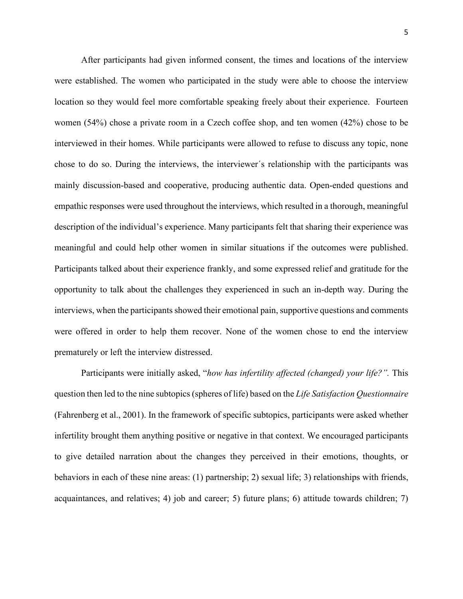After participants had given informed consent, the times and locations of the interview were established. The women who participated in the study were able to choose the interview location so they would feel more comfortable speaking freely about their experience. Fourteen women (54%) chose a private room in a Czech coffee shop, and ten women (42%) chose to be interviewed in their homes. While participants were allowed to refuse to discuss any topic, none chose to do so. During the interviews, the interviewer´s relationship with the participants was mainly discussion-based and cooperative, producing authentic data. Open-ended questions and empathic responses were used throughout the interviews, which resulted in a thorough, meaningful description of the individual's experience. Many participants felt that sharing their experience was meaningful and could help other women in similar situations if the outcomes were published. Participants talked about their experience frankly, and some expressed relief and gratitude for the opportunity to talk about the challenges they experienced in such an in-depth way. During the interviews, when the participants showed their emotional pain, supportive questions and comments were offered in order to help them recover. None of the women chose to end the interview prematurely or left the interview distressed.

Participants were initially asked, "*how has infertility affected (changed) your life?".* This question then led to the nine subtopics (spheres of life) based on the *Life Satisfaction Questionnaire* (Fahrenberg et al., 2001). In the framework of specific subtopics, participants were asked whether infertility brought them anything positive or negative in that context. We encouraged participants to give detailed narration about the changes they perceived in their emotions, thoughts, or behaviors in each of these nine areas: (1) partnership; 2) sexual life; 3) relationships with friends, acquaintances, and relatives; 4) job and career; 5) future plans; 6) attitude towards children; 7)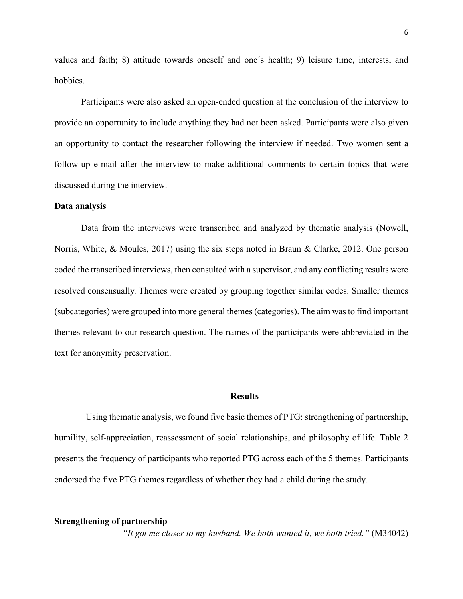values and faith; 8) attitude towards oneself and one´s health; 9) leisure time, interests, and hobbies.

Participants were also asked an open-ended question at the conclusion of the interview to provide an opportunity to include anything they had not been asked. Participants were also given an opportunity to contact the researcher following the interview if needed. Two women sent a follow-up e-mail after the interview to make additional comments to certain topics that were discussed during the interview.

#### **Data analysis**

Data from the interviews were transcribed and analyzed by thematic analysis (Nowell, Norris, White, & Moules, 2017) using the six steps noted in Braun & Clarke, 2012. One person coded the transcribed interviews, then consulted with a supervisor, and any conflicting results were resolved consensually. Themes were created by grouping together similar codes. Smaller themes (subcategories) were grouped into more general themes (categories). The aim was to find important themes relevant to our research question. The names of the participants were abbreviated in the text for anonymity preservation.

#### **Results**

Using thematic analysis, we found five basic themes of  $PTG$ : strengthening of partnership, humility, self-appreciation, reassessment of social relationships, and philosophy of life. Table 2 presents the frequency of participants who reported PTG across each of the 5 themes. Participants endorsed the five PTG themes regardless of whether they had a child during the study.

#### **Strengthening of partnership**

*"It got me closer to my husband. We both wanted it, we both tried."* (M34042)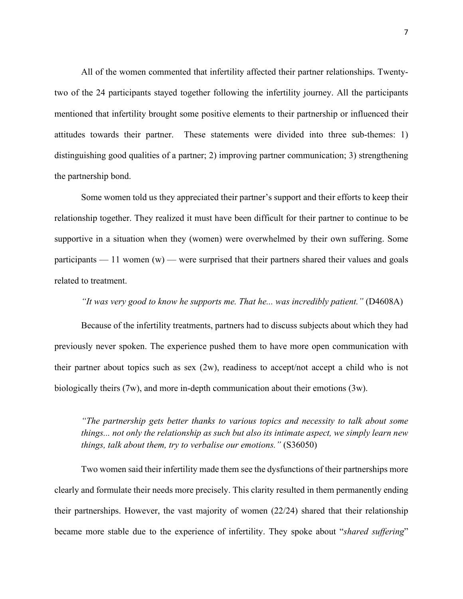All of the women commented that infertility affected their partner relationships. Twentytwo of the 24 participants stayed together following the infertility journey. All the participants mentioned that infertility brought some positive elements to their partnership or influenced their attitudes towards their partner. These statements were divided into three sub-themes: 1) distinguishing good qualities of a partner; 2) improving partner communication; 3) strengthening the partnership bond.

Some women told us they appreciated their partner's support and their efforts to keep their relationship together. They realized it must have been difficult for their partner to continue to be supportive in a situation when they (women) were overwhelmed by their own suffering. Some participants  $-11$  women (w) — were surprised that their partners shared their values and goals related to treatment.

#### *"It was very good to know he supports me. That he... was incredibly patient."* (D4608A)

Because of the infertility treatments, partners had to discuss subjects about which they had previously never spoken. The experience pushed them to have more open communication with their partner about topics such as sex  $(2w)$ , readiness to accept/not accept a child who is not biologically theirs (7w), and more in-depth communication about their emotions (3w).

*"The partnership gets better thanks to various topics and necessity to talk about some things... not only the relationship as such but also its intimate aspect, we simply learn new things, talk about them, try to verbalise our emotions."* (S36050)

Two women said their infertility made them see the dysfunctions of their partnerships more clearly and formulate their needs more precisely. This clarity resulted in them permanently ending their partnerships. However, the vast majority of women (22/24) shared that their relationship became more stable due to the experience of infertility. They spoke about "*shared suffering*"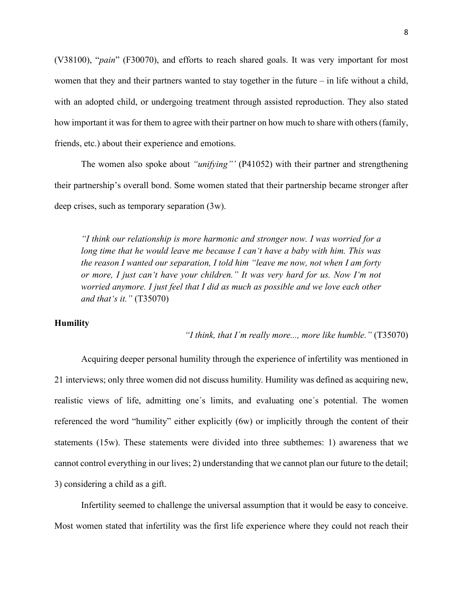(V38100), "*pain*" (F30070), and efforts to reach shared goals. It was very important for most women that they and their partners wanted to stay together in the future – in life without a child, with an adopted child, or undergoing treatment through assisted reproduction. They also stated how important it was for them to agree with their partner on how much to share with others (family, friends, etc.) about their experience and emotions.

The women also spoke about *"unifying"'* (P41052) with their partner and strengthening their partnership's overall bond. Some women stated that their partnership became stronger after deep crises, such as temporary separation (3w).

*"I think our relationship is more harmonic and stronger now. I was worried for a long time that he would leave me because I can't have a baby with him. This was the reason I wanted our separation, I told him "leave me now, not when I am forty or more, I just can't have your children." It was very hard for us. Now I'm not worried anymore. I just feel that I did as much as possible and we love each other and that's it."* (T35070)

#### **Humility**

*"I think, that I´m really more..., more like humble."* (T35070)

Acquiring deeper personal humility through the experience of infertility was mentioned in 21 interviews; only three women did not discuss humility. Humility was defined as acquiring new, realistic views of life, admitting one´s limits, and evaluating one´s potential. The women referenced the word "humility" either explicitly (6w) or implicitly through the content of their statements (15w). These statements were divided into three subthemes: 1) awareness that we cannot control everything in our lives; 2) understanding that we cannot plan our future to the detail; 3) considering a child as a gift.

Infertility seemed to challenge the universal assumption that it would be easy to conceive. Most women stated that infertility was the first life experience where they could not reach their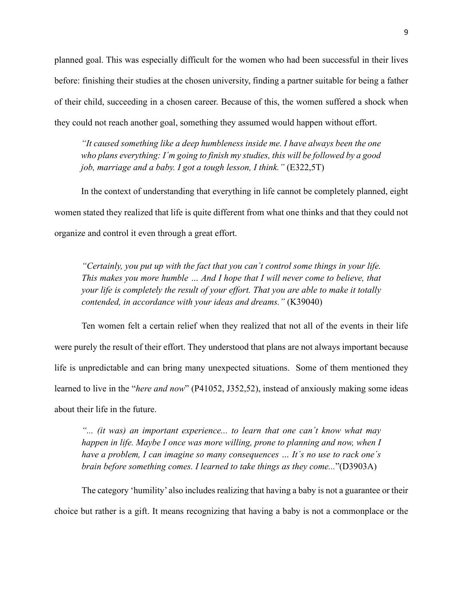planned goal. This was especially difficult for the women who had been successful in their lives before: finishing their studies at the chosen university, finding a partner suitable for being a father of their child, succeeding in a chosen career. Because of this, the women suffered a shock when they could not reach another goal, something they assumed would happen without effort.

*"It caused something like a deep humbleness inside me. I have always been the one who plans everything: I´m going to finish my studies, this will be followed by a good job, marriage and a baby. I got a tough lesson, I think."* (E322,5T)

In the context of understanding that everything in life cannot be completely planned, eight women stated they realized that life is quite different from what one thinks and that they could not organize and control it even through a great effort.

*"Certainly, you put up with the fact that you can´t control some things in your life. This makes you more humble … And I hope that I will never come to believe, that your life is completely the result of your effort. That you are able to make it totally contended, in accordance with your ideas and dreams."* (K39040)

Ten women felt a certain relief when they realized that not all of the events in their life were purely the result of their effort. They understood that plans are not always important because life is unpredictable and can bring many unexpected situations. Some of them mentioned they learned to live in the "*here and now*" (P41052, J352,52), instead of anxiously making some ideas about their life in the future.

*"... (it was) an important experience... to learn that one can´t know what may happen in life. Maybe I once was more willing, prone to planning and now, when I have a problem, I can imagine so many consequences … It´s no use to rack one´s brain before something comes. I learned to take things as they come...*"(D3903A)

The category 'humility' also includes realizing that having a baby is not a guarantee or their choice but rather is a gift. It means recognizing that having a baby is not a commonplace or the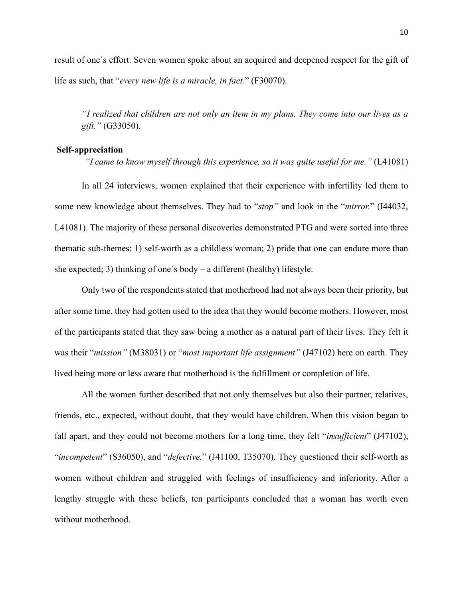result of one´s effort. Seven women spoke about an acquired and deepened respect for the gift of life as such, that "*every new life is a miracle, in fact.*" (F30070).

*"I realized that children are not only an item in my plans. They come into our lives as a gift."* (G33050).

#### **Self-appreciation**

*"I came to know myself through this experience, so it was quite useful for me."* (L41081)

In all 24 interviews, women explained that their experience with infertility led them to some new knowledge about themselves. They had to "*stop"* and look in the "*mirror.*" (I44032, L41081). The majority of these personal discoveries demonstrated PTG and were sorted into three thematic sub-themes: 1) self-worth as a childless woman; 2) pride that one can endure more than she expected; 3) thinking of one´s body – a different (healthy) lifestyle.

Only two of the respondents stated that motherhood had not always been their priority, but after some time, they had gotten used to the idea that they would become mothers. However, most of the participants stated that they saw being a mother as a natural part of their lives. They felt it was their "*mission"* (M38031) or "*most important life assignment"* (J47102) here on earth. They lived being more or less aware that motherhood is the fulfillment or completion of life.

All the women further described that not only themselves but also their partner, relatives, friends, etc., expected, without doubt, that they would have children. When this vision began to fall apart, and they could not become mothers for a long time, they felt "*insufficient*" (J47102), "*incompetent*" (S36050), and "*defective.*" (J41100, T35070). They questioned their self-worth as women without children and struggled with feelings of insufficiency and inferiority. After a lengthy struggle with these beliefs, ten participants concluded that a woman has worth even without motherhood.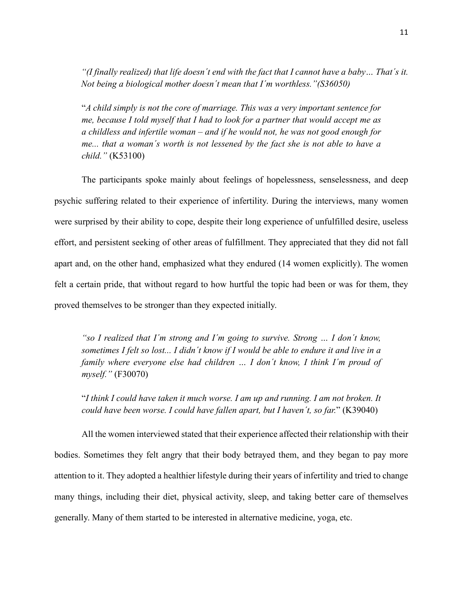*"(I finally realized) that life doesn´t end with the fact that I cannot have a baby… That´s it. Not being a biological mother doesn´t mean that I´m worthless."(S36050)*

"*A child simply is not the core of marriage. This was a very important sentence for me, because I told myself that I had to look for a partner that would accept me as a childless and infertile woman – and if he would not, he was not good enough for me... that a woman´s worth is not lessened by the fact she is not able to have a child."* (K53100)

The participants spoke mainly about feelings of hopelessness, senselessness, and deep psychic suffering related to their experience of infertility. During the interviews, many women were surprised by their ability to cope, despite their long experience of unfulfilled desire, useless effort, and persistent seeking of other areas of fulfillment. They appreciated that they did not fall apart and, on the other hand, emphasized what they endured (14 women explicitly). The women felt a certain pride, that without regard to how hurtful the topic had been or was for them, they proved themselves to be stronger than they expected initially.

*"so I realized that I´m strong and I´m going to survive. Strong … I don´t know, sometimes I felt so lost... I didn´t know if I would be able to endure it and live in a family where everyone else had children … I don´t know, I think I´m proud of myself."* (F30070)

"*I think I could have taken it much worse. I am up and running. I am not broken. It could have been worse. I could have fallen apart, but I haven´t, so far.*" (K39040)

All the women interviewed stated that their experience affected their relationship with their bodies. Sometimes they felt angry that their body betrayed them, and they began to pay more attention to it. They adopted a healthier lifestyle during their years of infertility and tried to change many things, including their diet, physical activity, sleep, and taking better care of themselves generally. Many of them started to be interested in alternative medicine, yoga, etc.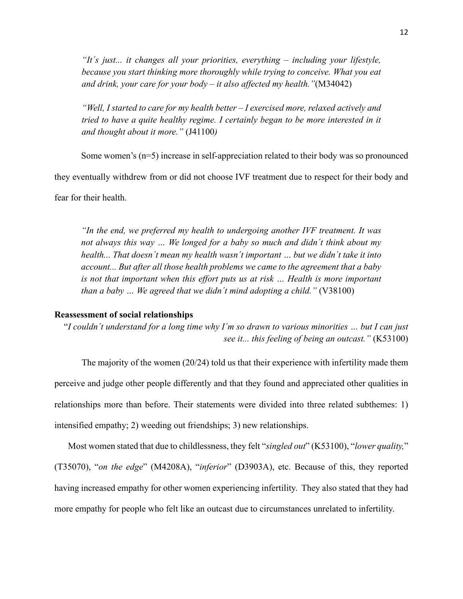*"It´s just... it changes all your priorities, everything – including your lifestyle, because you start thinking more thoroughly while trying to conceive. What you eat and drink, your care for your body – it also affected my health."*(M34042)

*"Well, I started to care for my health better – I exercised more, relaxed actively and tried to have a quite healthy regime. I certainly began to be more interested in it and thought about it more."* (J41100*)*

Some women's (n=5) increase in self-appreciation related to their body was so pronounced

they eventually withdrew from or did not choose IVF treatment due to respect for their body and

fear for their health.

*"In the end, we preferred my health to undergoing another IVF treatment. It was not always this way … We longed for a baby so much and didn´t think about my health... That doesn´t mean my health wasn´t important … but we didn´t take it into account... But after all those health problems we came to the agreement that a baby is not that important when this effort puts us at risk … Health is more important than a baby … We agreed that we didn´t mind adopting a child."* (V38100)

#### **Reassessment of social relationships**

"*I couldn´t understand for a long time why I´m so drawn to various minorities … but I can just see it... this feeling of being an outcast."* (K53100)

The majority of the women (20/24) told us that their experience with infertility made them perceive and judge other people differently and that they found and appreciated other qualities in relationships more than before. Their statements were divided into three related subthemes: 1) intensified empathy; 2) weeding out friendships; 3) new relationships.

Most women stated that due to childlessness, they felt "*singled out*" (K53100), "*lower quality,*" (T35070), "*on the edge*" (M4208A), "*inferior*" (D3903A), etc. Because of this, they reported having increased empathy for other women experiencing infertility. They also stated that they had more empathy for people who felt like an outcast due to circumstances unrelated to infertility.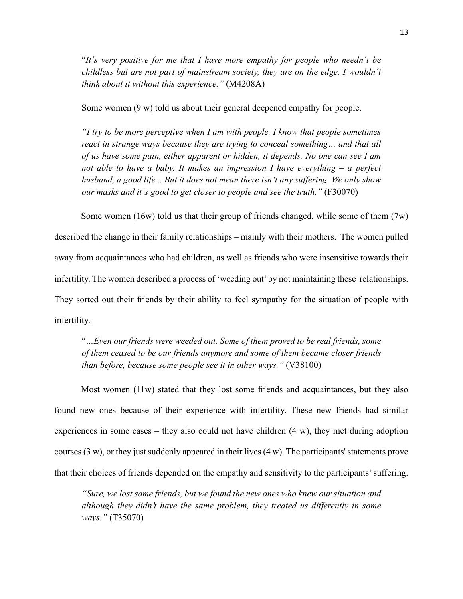"*It´s very positive for me that I have more empathy for people who needn´t be childless but are not part of mainstream society, they are on the edge. I wouldn´t think about it without this experience."* (M4208A)

Some women (9 w) told us about their general deepened empathy for people.

*"I try to be more perceptive when I am with people. I know that people sometimes react in strange ways because they are trying to conceal something... and that all of us have some pain, either apparent or hidden, it depends. No one can see I am not able to have a baby. It makes an impression I have everything – a perfect husband, a good life... But it does not mean there isn't any suffering. We only show our masks and it's good to get closer to people and see the truth."* (F30070)

Some women (16w) told us that their group of friends changed, while some of them  $(7w)$ 

described the change in their family relationships – mainly with their mothers. The women pulled away from acquaintances who had children, as well as friends who were insensitive towards their infertility. The women described a process of 'weeding out' by not maintaining these relationships. They sorted out their friends by their ability to feel sympathy for the situation of people with infertility.

"*…Even our friends were weeded out. Some of them proved to be real friends, some of them ceased to be our friends anymore and some of them became closer friends than before, because some people see it in other ways."* (V38100)

Most women (11w) stated that they lost some friends and acquaintances, but they also found new ones because of their experience with infertility. These new friends had similar experiences in some cases – they also could not have children (4 w), they met during adoption courses (3 w), or they just suddenly appeared in their lives (4 w). The participants' statements prove that their choices of friends depended on the empathy and sensitivity to the participants' suffering.

*"Sure, we lost some friends, but we found the new ones who knew our situation and although they didn't have the same problem, they treated us differently in some ways."* (T35070)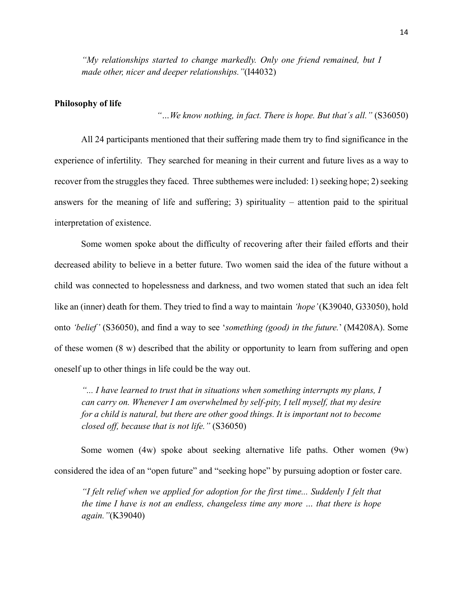*"My relationships started to change markedly. Only one friend remained, but I made other, nicer and deeper relationships."*(I44032)

#### **Philosophy of life**

*"…We know nothing, in fact. There is hope. But that´s all."* (S36050)

All 24 participants mentioned that their suffering made them try to find significance in the experience of infertility. They searched for meaning in their current and future lives as a way to recover from the struggles they faced. Three subthemes were included: 1) seeking hope; 2) seeking answers for the meaning of life and suffering; 3) spirituality – attention paid to the spiritual interpretation of existence.

Some women spoke about the difficulty of recovering after their failed efforts and their decreased ability to believe in a better future. Two women said the idea of the future without a child was connected to hopelessness and darkness, and two women stated that such an idea felt like an (inner) death for them. They tried to find a way to maintain *'hope'* (K39040, G33050), hold onto *'belief'* (S36050), and find a way to see '*something (good) in the future.*' (M4208A). Some of these women (8 w) described that the ability or opportunity to learn from suffering and open oneself up to other things in life could be the way out.

*"... I have learned to trust that in situations when something interrupts my plans, I can carry on. Whenever I am overwhelmed by self-pity, I tell myself, that my desire for a child is natural, but there are other good things. It is important not to become closed off, because that is not life."* (S36050)

Some women (4w) spoke about seeking alternative life paths. Other women (9w) considered the idea of an "open future" and "seeking hope" by pursuing adoption or foster care.

*"I felt relief when we applied for adoption for the first time... Suddenly I felt that the time I have is not an endless, changeless time any more … that there is hope again."*(K39040)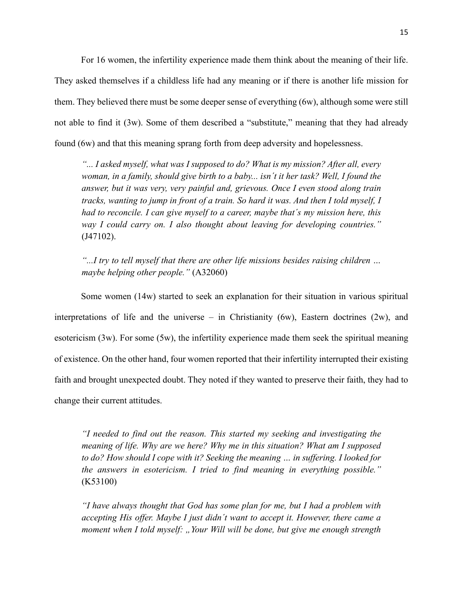For 16 women, the infertility experience made them think about the meaning of their life. They asked themselves if a childless life had any meaning or if there is another life mission for them. They believed there must be some deeper sense of everything (6w), although some were still not able to find it (3w). Some of them described a "substitute," meaning that they had already found (6w) and that this meaning sprang forth from deep adversity and hopelessness.

*"... I asked myself, what was I supposed to do? What is my mission? After all, every woman, in a family, should give birth to a baby... isn´t it her task? Well, I found the answer, but it was very, very painful and, grievous. Once I even stood along train tracks, wanting to jump in front of a train. So hard it was. And then I told myself, I had to reconcile. I can give myself to a career, maybe that´s my mission here, this way I could carry on. I also thought about leaving for developing countries."*  (J47102).

*"...I try to tell myself that there are other life missions besides raising children … maybe helping other people."* (A32060)

Some women (14w) started to seek an explanation for their situation in various spiritual interpretations of life and the universe – in Christianity (6w), Eastern doctrines (2w), and esotericism (3w). For some (5w), the infertility experience made them seek the spiritual meaning of existence. On the other hand, four women reported that their infertility interrupted their existing faith and brought unexpected doubt. They noted if they wanted to preserve their faith, they had to change their current attitudes.

*"I needed to find out the reason. This started my seeking and investigating the meaning of life. Why are we here? Why me in this situation? What am I supposed to do? How should I cope with it? Seeking the meaning … in suffering. I looked for the answers in esotericism. I tried to find meaning in everything possible."* (K53100)

*"I have always thought that God has some plan for me, but I had a problem with accepting His offer. Maybe I just didn´t want to accept it. However, there came a moment when I told myself: "Your Will will be done, but give me enough strength*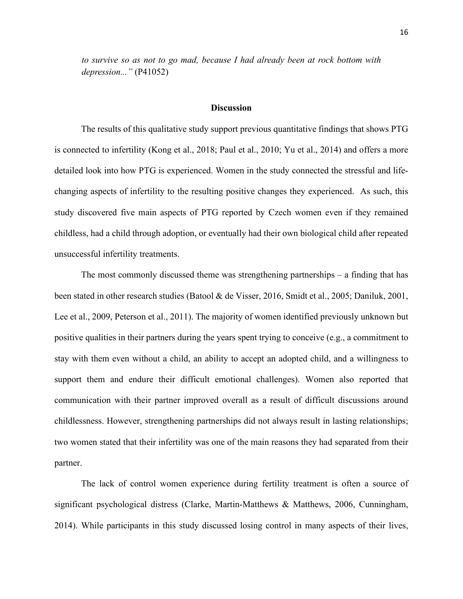*to survive so as not to go mad, because I had already been at rock bottom with depression..."* (P41052)

#### **Discussion**

The results of this qualitative study support previous quantitative findings that shows PTG is connected to infertility (Kong et al., 2018; Paul et al., 2010; Yu et al., 2014) and offers a more detailed look into how PTG is experienced. Women in the study connected the stressful and lifechanging aspects of infertility to the resulting positive changes they experienced. As such, this study discovered five main aspects of PTG reported by Czech women even if they remained childless, had a child through adoption, or eventually had their own biological child after repeated unsuccessful infertility treatments.

The most commonly discussed theme was strengthening partnerships – a finding that has been stated in other research studies (Batool & de Visser, 2016, Smidt et al., 2005; Daniluk, 2001, Lee et al., 2009, Peterson et al., 2011). The majority of women identified previously unknown but positive qualities in their partners during the years spent trying to conceive (e.g., a commitment to stay with them even without a child, an ability to accept an adopted child, and a willingness to support them and endure their difficult emotional challenges). Women also reported that communication with their partner improved overall as a result of difficult discussions around childlessness. However, strengthening partnerships did not always result in lasting relationships; two women stated that their infertility was one of the main reasons they had separated from their partner.

The lack of control women experience during fertility treatment is often a source of significant psychological distress (Clarke, Martin-Matthews & Matthews, 2006, Cunningham, 2014). While participants in this study discussed losing control in many aspects of their lives,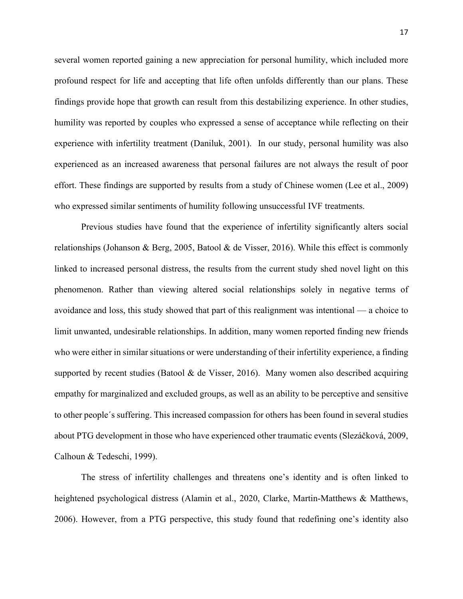several women reported gaining a new appreciation for personal humility, which included more profound respect for life and accepting that life often unfolds differently than our plans. These findings provide hope that growth can result from this destabilizing experience. In other studies, humility was reported by couples who expressed a sense of acceptance while reflecting on their experience with infertility treatment (Daniluk, 2001). In our study, personal humility was also experienced as an increased awareness that personal failures are not always the result of poor effort. These findings are supported by results from a study of Chinese women (Lee et al., 2009) who expressed similar sentiments of humility following unsuccessful IVF treatments.

Previous studies have found that the experience of infertility significantly alters social relationships (Johanson & Berg, 2005, Batool & de Visser, 2016). While this effect is commonly linked to increased personal distress, the results from the current study shed novel light on this phenomenon. Rather than viewing altered social relationships solely in negative terms of avoidance and loss, this study showed that part of this realignment was intentional — a choice to limit unwanted, undesirable relationships. In addition, many women reported finding new friends who were either in similar situations or were understanding of their infertility experience, a finding supported by recent studies (Batool & de Visser, 2016). Many women also described acquiring empathy for marginalized and excluded groups, as well as an ability to be perceptive and sensitive to other people´s suffering. This increased compassion for others has been found in several studies about PTG development in those who have experienced other traumatic events (Slezáčková, 2009, Calhoun & Tedeschi, 1999).

The stress of infertility challenges and threatens one's identity and is often linked to heightened psychological distress (Alamin et al., 2020, Clarke, Martin-Matthews & Matthews, 2006). However, from a PTG perspective, this study found that redefining one's identity also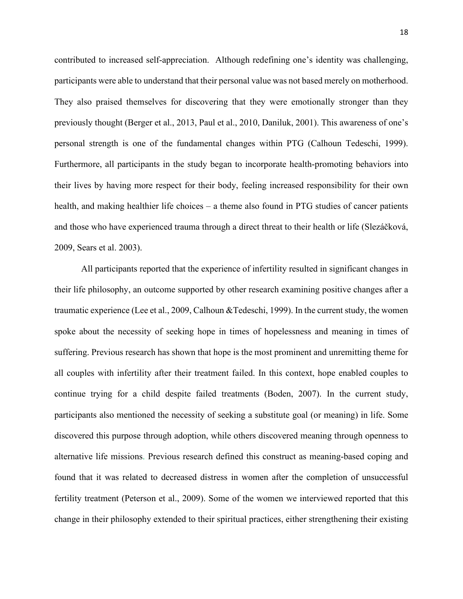contributed to increased self-appreciation. Although redefining one's identity was challenging, participants were able to understand that their personal value was not based merely on motherhood. They also praised themselves for discovering that they were emotionally stronger than they previously thought (Berger et al., 2013, Paul et al., 2010, Daniluk, 2001). This awareness of one's personal strength is one of the fundamental changes within PTG (Calhoun Tedeschi, 1999). Furthermore, all participants in the study began to incorporate health-promoting behaviors into their lives by having more respect for their body, feeling increased responsibility for their own health, and making healthier life choices – a theme also found in PTG studies of cancer patients and those who have experienced trauma through a direct threat to their health or life (Slezáčková, 2009, Sears et al. 2003).

All participants reported that the experience of infertility resulted in significant changes in their life philosophy, an outcome supported by other research examining positive changes after a traumatic experience (Lee et al., 2009, Calhoun &Tedeschi, 1999). In the current study, the women spoke about the necessity of seeking hope in times of hopelessness and meaning in times of suffering. Previous research has shown that hope is the most prominent and unremitting theme for all couples with infertility after their treatment failed. In this context, hope enabled couples to continue trying for a child despite failed treatments (Boden, 2007). In the current study, participants also mentioned the necessity of seeking a substitute goal (or meaning) in life. Some discovered this purpose through adoption, while others discovered meaning through openness to alternative life missions. Previous research defined this construct as meaning-based coping and found that it was related to decreased distress in women after the completion of unsuccessful fertility treatment (Peterson et al., 2009). Some of the women we interviewed reported that this change in their philosophy extended to their spiritual practices, either strengthening their existing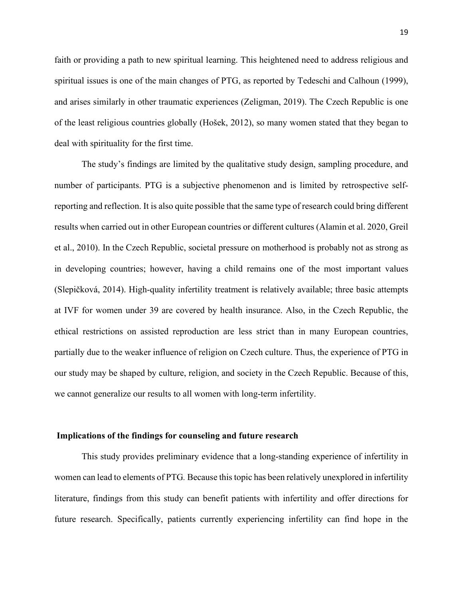faith or providing a path to new spiritual learning. This heightened need to address religious and spiritual issues is one of the main changes of PTG, as reported by Tedeschi and Calhoun (1999), and arises similarly in other traumatic experiences (Zeligman, 2019). The Czech Republic is one of the least religious countries globally (Hošek, 2012), so many women stated that they began to deal with spirituality for the first time.

The study's findings are limited by the qualitative study design, sampling procedure, and number of participants. PTG is a subjective phenomenon and is limited by retrospective selfreporting and reflection. It is also quite possible that the same type of research could bring different results when carried out in other European countries or different cultures (Alamin et al. 2020, Greil et al., 2010). In the Czech Republic, societal pressure on motherhood is probably not as strong as in developing countries; however, having a child remains one of the most important values (Slepičková, 2014). High-quality infertility treatment is relatively available; three basic attempts at IVF for women under 39 are covered by health insurance. Also, in the Czech Republic, the ethical restrictions on assisted reproduction are less strict than in many European countries, partially due to the weaker influence of religion on Czech culture. Thus, the experience of PTG in our study may be shaped by culture, religion, and society in the Czech Republic. Because of this, we cannot generalize our results to all women with long-term infertility.

#### **Implications of the findings for counseling and future research**

This study provides preliminary evidence that a long-standing experience of infertility in women can lead to elements of PTG*.* Because this topic has been relatively unexplored in infertility literature, findings from this study can benefit patients with infertility and offer directions for future research. Specifically, patients currently experiencing infertility can find hope in the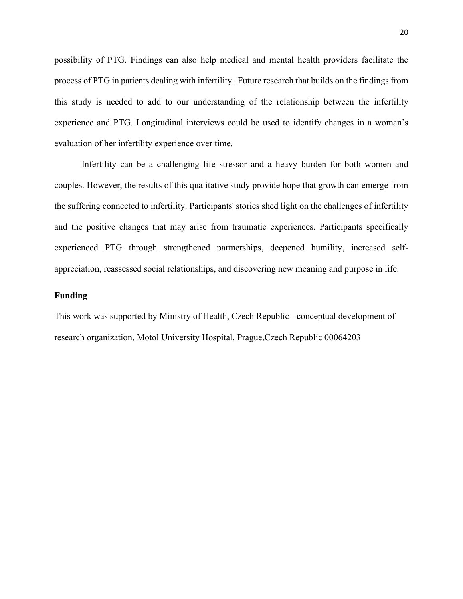possibility of PTG. Findings can also help medical and mental health providers facilitate the process of PTG in patients dealing with infertility. Future research that builds on the findings from this study is needed to add to our understanding of the relationship between the infertility experience and PTG. Longitudinal interviews could be used to identify changes in a woman's evaluation of her infertility experience over time.

Infertility can be a challenging life stressor and a heavy burden for both women and couples. However, the results of this qualitative study provide hope that growth can emerge from the suffering connected to infertility. Participants' stories shed light on the challenges of infertility and the positive changes that may arise from traumatic experiences. Participants specifically experienced PTG through strengthened partnerships, deepened humility, increased selfappreciation, reassessed social relationships, and discovering new meaning and purpose in life.

#### **Funding**

This work was supported by Ministry of Health, Czech Republic - conceptual development of research organization, Motol University Hospital, Prague,Czech Republic 00064203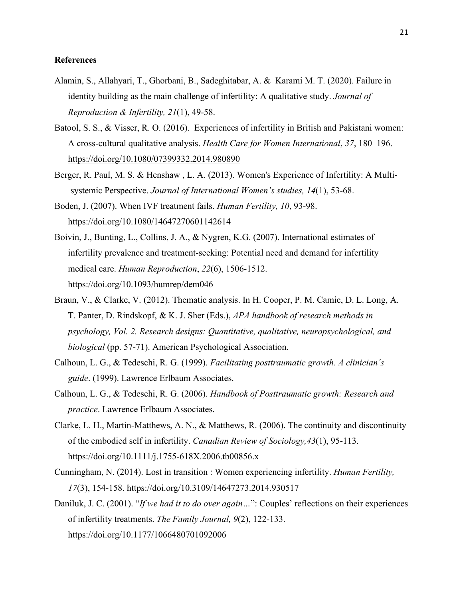#### **References**

- Alamin, S., Allahyari, T., Ghorbani, B., Sadeghitabar, A. & Karami M. T. (2020). Failure in identity building as the main challenge of infertility: A qualitative study. *Journal of Reproduction & Infertility, 21*(1), 49-58.
- Batool, S. S., & Visser, R. O. (2016). Experiences of infertility in British and Pakistani women: A cross-cultural qualitative analysis. *Health Care for Women International*, *37*, 180–196. <https://doi.org/10.1080/07399332.2014.980890>
- Berger, R. Paul, M. S. & Henshaw , L. A. (2013). Women's Experience of Infertility: A Multisystemic Perspective. *Journal of International Women's studies, 14*(1), 53-68.
- Boden, J. (2007). When IVF treatment fails. *Human Fertility, 10*, 93-98. https://doi.org/10.1080/14647270601142614
- Boivin, J., Bunting, L., Collins, J. A., & Nygren, K.G. (2007). International estimates of infertility prevalence and treatment-seeking: Potential need and demand for infertility medical care. *Human Reproduction*, *22*(6), 1506-1512. https://doi.org/10.1093/humrep/dem046
- Braun, V., & Clarke, V. (2012). Thematic analysis. In H. Cooper, P. M. Camic, D. L. Long, A. T. Panter, D. Rindskopf, & K. J. Sher (Eds.), *APA handbook of research methods in psychology, Vol. 2. Research designs: Quantitative, qualitative, neuropsychological, and biological* (pp. 57-71). American Psychological Association.
- Calhoun, L. G., & Tedeschi, R. G. (1999). *Facilitating posttraumatic growth. A clinician´s guide*. (1999). Lawrence Erlbaum Associates.
- Calhoun, L. G., & Tedeschi, R. G. (2006). *Handbook of Posttraumatic growth: Research and practice*. Lawrence Erlbaum Associates.
- Clarke, L. H., Martin-Matthews, A. N., & Matthews, R. (2006). The continuity and discontinuity of the embodied self in infertility. *Canadian Review of Sociology,43*(1), 95-113. https://doi.org/10.1111/j.1755-618X.2006.tb00856.x
- Cunningham, N. (2014). Lost in transition : Women experiencing infertility. *Human Fertility, 17*(3), 154-158. https://doi.org/10.3109/14647273.2014.930517
- Daniluk, J. C. (2001). "*If we had it to do over again…*": Couples' reflections on their experiences of infertility treatments. *The Family Journal, 9*(2), 122-133. https://doi.org/10.1177/1066480701092006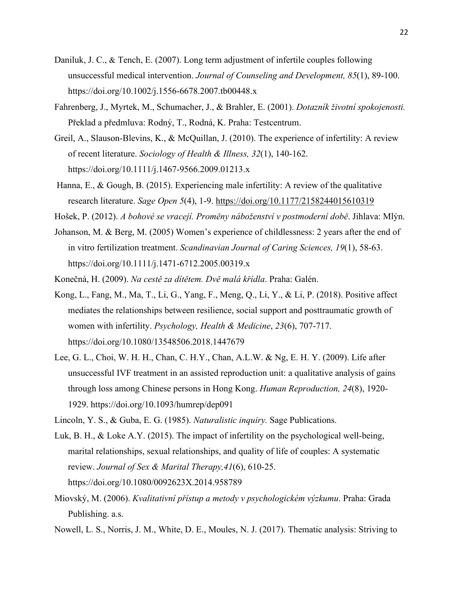- Daniluk, J. C., & Tench, E. (2007). Long term adjustment of infertile couples following unsuccessful medical intervention. *Journal of Counseling and Development, 85*(1), 89-100. https://doi.org/10.1002/j.1556-6678.2007.tb00448.x
- Fahrenberg, J., Myrtek, M., Schumacher, J., & Brahler, E. (2001). *Dotazník životní spokojenosti.* Překlad a předmluva: Rodný, T., Rodná, K. Praha: Testcentrum.
- Greil, A., Slauson-Blevins, K., & McQuillan, J. (2010). The experience of infertility: A review of recent literature. *Sociology of Health & Illness, 32*(1), 140-162. https://doi.org/10.1111/j.1467-9566.2009.01213.x
- Hanna, E., & Gough, B. (2015). Experiencing male infertility: A review of the qualitative research literature. *Sage Open 5*(4), 1-9. <https://doi.org/10.1177/2158244015610319>
- Hošek, P. (2012). *A bohové se vracejí. Proměny náboženství v postmoderní době*. Jihlava: Mlýn.
- Johanson, M. & Berg, M. (2005) Women's experience of childlessness: 2 years after the end of in vitro fertilization treatment. *Scandinavian Journal of Caring Sciences, 19*(1), 58-63. https://doi.org/10.1111/j.1471-6712.2005.00319.x
- Konečná, H. (2009). *Na cestě za dítětem. Dvě malá křídla*. Praha: Galén.
- Kong, L., Fang, M., Ma, T., Li, G., Yang, F., Meng, Q., Li, Y., & Li, P. (2018). Positive affect mediates the relationships between resilience, social support and posttraumatic growth of women with infertility. *Psychology, Health & Medicine*, *23*(6), 707-717. https://doi.org/10.1080/13548506.2018.1447679
- Lee, G. L., Choi, W. H. H., Chan, C. H.Y., Chan, A.L.W. & Ng, E. H. Y. (2009). Life after unsuccessful IVF treatment in an assisted reproduction unit: a qualitative analysis of gains through loss among Chinese persons in Hong Kong. *Human Reproduction, 24*(8), 1920- 1929. https://doi.org/10.1093/humrep/dep091
- Lincoln, Y. S., & Guba, E. G. (1985). *Naturalistic inquiry.* Sage Publications.
- Luk, B. H., & Loke A.Y. (2015). The impact of infertility on the psychological well-being, marital relationships, sexual relationships, and quality of life of couples: A systematic review. *Journal of Sex & Marital Therapy,41*(6), 610-25. https://doi.org/10.1080/0092623X.2014.958789
- Miovský, M. (2006). *Kvalitativní přístup a metody v psychologickém výzkumu*. Praha: Grada Publishing. a.s.
- Nowell, L. S., Norris, J. M., White, D. E., Moules, N. J. (2017). Thematic analysis: Striving to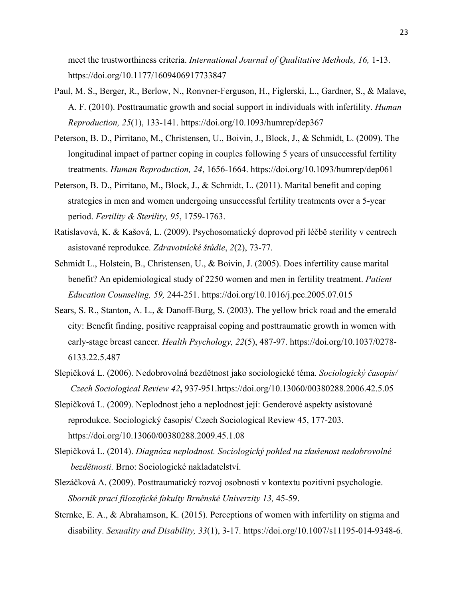meet the trustworthiness criteria. *International Journal of Qualitative Methods, 16,* 1-13. https://doi.org/10.1177/1609406917733847

- Paul, M. S., Berger, R., Berlow, N., Ronvner-Ferguson, H., Figlerski, L., Gardner, S., & Malave, A. F. (2010). Posttraumatic growth and social support in individuals with infertility. *Human Reproduction, 25*(1), 133-141. https://doi.org/10.1093/humrep/dep367
- Peterson, B. D., Pirritano, M., Christensen, U., Boivin, J., Block, J., & Schmidt, L. (2009). The longitudinal impact of partner coping in couples following 5 years of unsuccessful fertility treatments. *Human Reproduction, 24*, 1656-1664. <https://doi.org/10.1093/humrep/dep061>
- Peterson, B. D., Pirritano, M., Block, J., & Schmidt, L. (2011). Marital benefit and coping strategies in men and women undergoing unsuccessful fertility treatments over a 5-year period. *Fertility & Sterility, 95*, 1759-1763.
- Ratislavová, K. & Kašová, L. (2009). Psychosomatický doprovod při léčbě sterility v centrech asistované reprodukce. *Zdravotnícké štúdie*, *2*(2), 73-77.
- Schmidt L., Holstein, B., Christensen, U., & Boivin, J. (2005). Does infertility cause marital benefit? An epidemiological study of 2250 women and men in fertility treatment. *Patient Education Counseling, 59,* 244-251. https://doi.org/10.1016/j.pec.2005.07.015
- Sears, S. R., Stanton, A. L., & Danoff-Burg, S. (2003). The yellow brick road and the emerald city: Benefit finding, positive reappraisal coping and posttraumatic growth in women with early-stage breast cancer. *Health Psychology, 22*(5), 487-97. https://doi.org/10.1037/0278- 6133.22.5.487
- Slepičková L. (2006). Nedobrovolná bezdětnost jako sociologické téma. *Sociologický časopis/ Czech Sociological Review 42***,** 937-951.https://doi.org/10.13060/00380288.2006.42.5.05
- Slepičková L. (2009). Neplodnost jeho a neplodnost její: Genderové aspekty asistované reprodukce. Sociologický časopis/ Czech Sociological Review 45, 177-203. https://doi.org/10.13060/00380288.2009.45.1.08
- Slepičková L. (2014). *Diagnóza neplodnost. Sociologický pohled na zkušenost nedobrovolné bezdětnosti.* Brno: Sociologické nakladatelství.
- Slezáčková A. (2009). Posttraumatický rozvoj osobnosti v kontextu pozitivní psychologie. *Sborník prací filozofické fakulty Brněnské Univerzity 13,* 45-59.
- Sternke, E. A., & Abrahamson, K. (2015). Perceptions of women with infertility on stigma and disability. *Sexuality and Disability, 33*(1), 3-17. https://doi.org/10.1007/s11195-014-9348-6.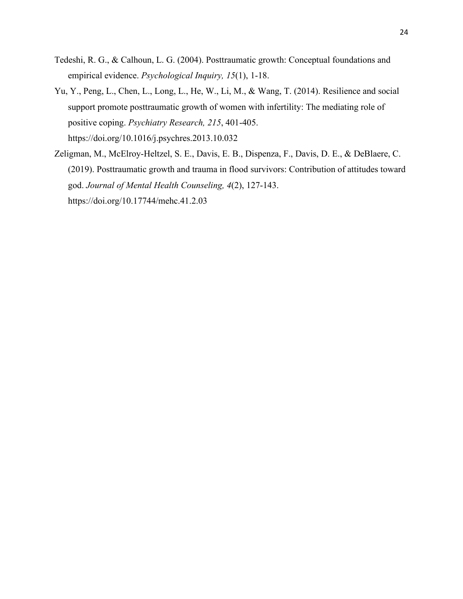- Tedeshi, R. G., & Calhoun, L. G. (2004). Posttraumatic growth: Conceptual foundations and empirical evidence. *Psychological Inquiry, 15*(1), 1-18.
- Yu, Y., Peng, L., Chen, L., Long, L., He, W., Li, M., & Wang, T. (2014). Resilience and social support promote posttraumatic growth of women with infertility: The mediating role of positive coping. *Psychiatry Research, 215*, 401-405. https://doi.org/10.1016/j.psychres.2013.10.032
- Zeligman, M., McElroy-Heltzel, S. E., Davis, E. B., Dispenza, F., Davis, D. E., & DeBlaere, C. (2019). Posttraumatic growth and trauma in flood survivors: Contribution of attitudes toward god. *Journal of Mental Health Counseling, 4*(2), 127-143. https://doi.org/10.17744/mehc.41.2.03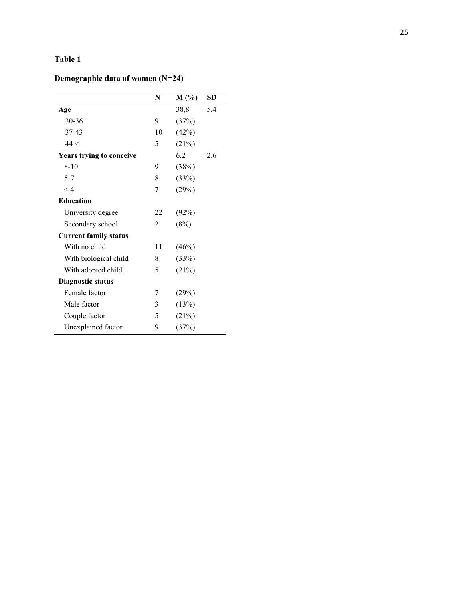# **Table 1**

# **Demographic data of women (N=24)**

|                              | N  | $M(\%)$ | <b>SD</b> |
|------------------------------|----|---------|-----------|
| Age                          |    | 38,8    | 5.4       |
| 30-36                        | 9  | (37%)   |           |
| 37-43                        | 10 | (42%)   |           |
| 44 <                         | 5  | (21%)   |           |
| Years trying to conceive     |    | 6.2     | 2.6       |
| $8-10$                       | 9  | (38%)   |           |
| $5 - 7$                      | 8  | (33%)   |           |
| $\lt 4$                      | 7  | (29%)   |           |
| <b>Education</b>             |    |         |           |
| University degree            | 22 | (92%)   |           |
| Secondary school             | 2  | (8%)    |           |
| <b>Current family status</b> |    |         |           |
| With no child                | 11 | (46%)   |           |
| With biological child        | 8  | (33%)   |           |
| With adopted child           | 5  | (21%)   |           |
| <b>Diagnostic status</b>     |    |         |           |
| Female factor                | 7  | (29%)   |           |
| Male factor                  | 3  | (13%)   |           |
| Couple factor                | 5  | (21%)   |           |
| Unexplained factor           | 9  | (37%)   |           |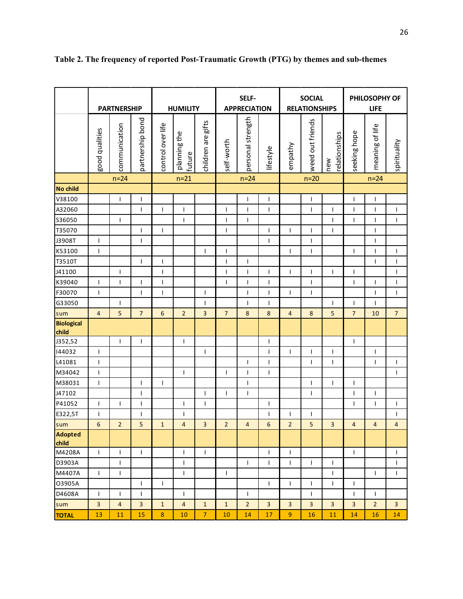|                            | <b>PARTNERSHIP</b>       |                |                          | <b>HUMILITY</b>   |                          | SELF-<br><b>APPRECIATION</b> |                          | <b>SOCIAL</b><br><b>RELATIONSHIPS</b> |                          |                          | PHILOSOPHY OF<br><b>LIFE</b> |                      |                          |                 |                          |
|----------------------------|--------------------------|----------------|--------------------------|-------------------|--------------------------|------------------------------|--------------------------|---------------------------------------|--------------------------|--------------------------|------------------------------|----------------------|--------------------------|-----------------|--------------------------|
|                            |                          |                |                          |                   |                          |                              |                          |                                       |                          |                          |                              |                      |                          |                 |                          |
|                            | good qualities           | communication  | partnership bond         | control over life | planning the<br>future   | children are gifts           | self-worth               | personal strength                     | lifestyle                | empathy                  | weed out friends             | relationships<br>new | seeking hope             | meaning of life | spirituality             |
|                            | $n=24$                   |                |                          | $n=21$            |                          |                              | $n=24$                   |                                       | $n=20$                   |                          |                              | $n=24$               |                          |                 |                          |
| No child                   |                          |                |                          |                   |                          |                              |                          |                                       |                          |                          |                              |                      |                          |                 |                          |
| V38100                     |                          | $\mathbf{I}$   | T                        |                   |                          |                              |                          | T                                     | I                        |                          | I                            |                      | $\overline{\phantom{a}}$ | T               |                          |
| A32060                     |                          |                | T                        | T                 | $\overline{\phantom{a}}$ |                              | $\mathbf{I}$             | T                                     | $\overline{\phantom{a}}$ |                          | $\overline{\phantom{a}}$     | T                    | $\overline{\phantom{a}}$ | T               | $\overline{\phantom{a}}$ |
| S36050                     |                          | $\overline{1}$ |                          |                   | $\overline{1}$           |                              | $\overline{1}$           | $\mathbf{I}$                          |                          |                          |                              | $\mathsf{I}$         | $\overline{1}$           | $\overline{1}$  | $\mathbf{I}$             |
| T35070                     |                          |                | $\overline{\phantom{a}}$ | $\mathbf{I}$      |                          |                              | $\overline{\phantom{a}}$ |                                       | $\overline{\phantom{a}}$ | T                        | $\overline{\phantom{a}}$     | T                    |                          | I               |                          |
| J3908T                     | $\overline{\phantom{a}}$ |                | $\overline{\phantom{a}}$ |                   |                          |                              |                          |                                       | $\overline{\phantom{a}}$ |                          | $\overline{\phantom{a}}$     |                      |                          | ı               |                          |
| K53100                     | $\mathbf{I}$             |                |                          |                   |                          | $\mathbf{I}$                 | $\overline{\phantom{a}}$ |                                       |                          | $\mathbf{I}$             | $\mathbf{I}$                 |                      | $\mathsf{I}$             | T               | $\overline{\phantom{a}}$ |
| T3510T                     |                          |                | $\overline{\phantom{a}}$ | $\mathbf{I}$      |                          |                              | $\overline{\phantom{a}}$ | $\mathbf{I}$                          |                          |                          |                              |                      |                          | T               | $\overline{\phantom{a}}$ |
| J41100                     |                          | $\mathbf{I}$   |                          | $\mathbf{I}$      |                          |                              | I                        | I                                     | I                        | $\mathbf{I}$             | $\overline{\phantom{a}}$     | $\mathbf{I}$         | $\overline{\phantom{a}}$ |                 | $\overline{\phantom{a}}$ |
| K39040                     | $\overline{\phantom{a}}$ | $\mathbf{I}$   | $\mathbf{I}$             | $\mathbf{I}$      |                          |                              | $\mathbf{I}$             | $\mathbf{I}$                          | $\mathbf{I}$             |                          | $\overline{\phantom{a}}$     |                      | $\mathsf{I}$             | T               | $\overline{\phantom{a}}$ |
| F30070                     | $\overline{\phantom{a}}$ |                | $\overline{1}$           | $\overline{1}$    |                          | $\overline{1}$               |                          | T                                     | $\overline{1}$           | $\overline{1}$           | $\overline{1}$               |                      |                          | Ī               | $\overline{1}$           |
| G33050                     |                          | $\mathbf{I}$   |                          |                   |                          | T                            |                          | $\mathbf{I}$                          | $\overline{\phantom{a}}$ |                          |                              | T                    | $\mathsf{l}$             | I               |                          |
| sum                        | $\overline{4}$           | 5              | $\overline{7}$           | $\sqrt{6}$        | $\overline{2}$           | 3                            | $\overline{7}$           | $\bf 8$                               | 8                        | $\overline{4}$           | $\boldsymbol{8}$             | 5                    | $\overline{7}$           | 10              | $\overline{7}$           |
| <b>Biological</b><br>child |                          |                |                          |                   |                          |                              |                          |                                       |                          |                          |                              |                      |                          |                 |                          |
| J352,52                    |                          | $\mathbf{I}$   | $\mathbf{I}$             |                   | $\mathbf{I}$             |                              |                          |                                       | $\mathbf{I}$             |                          |                              |                      | $\mathbf{I}$             |                 |                          |
| 144032                     | $\mathbf{I}$             |                |                          |                   |                          | $\overline{\phantom{a}}$     |                          |                                       | $\overline{1}$           | $\overline{1}$           | $\overline{1}$               | $\overline{1}$       |                          | $\overline{1}$  |                          |
| L41081                     | $\mathbf{I}$             |                |                          |                   |                          |                              |                          | $\mathbf{I}$                          | $\overline{\phantom{a}}$ |                          | T                            | $\mathbf{I}$         |                          | ı               | I                        |
| M34042                     | $\mathbf{I}$             |                |                          |                   | $\mathbf{I}$             |                              | $\mathbf{I}$             | $\mathbf{I}$                          | T                        |                          |                              |                      |                          |                 | $\mathbf{I}$             |
| M38031                     | $\mathbf{I}$             |                | T                        | $\mathbf{I}$      |                          |                              |                          | $\mathbf{I}$                          |                          |                          | $\mathbf{I}$                 | $\mathbf{I}$         | $\mathsf{I}$             |                 |                          |
| J47102                     |                          |                | I                        |                   |                          | T                            | T                        | T                                     |                          |                          | $\overline{\phantom{a}}$     |                      | I                        | ı               |                          |
| P41052                     | $\overline{\phantom{a}}$ | T              | $\overline{\phantom{a}}$ |                   | I                        | $\mathsf{I}$                 |                          |                                       | I                        |                          |                              |                      | $\overline{\phantom{a}}$ | I               | T                        |
| E322,5T                    | $\overline{\phantom{a}}$ |                | I                        |                   | $\overline{\phantom{a}}$ |                              |                          |                                       | $\overline{\phantom{a}}$ | ı                        | $\overline{\phantom{a}}$     |                      |                          |                 | $\overline{\phantom{a}}$ |
| sum                        | 6                        | $\overline{2}$ | 5                        | $\mathbf{1}$      | $\overline{4}$           | 3                            | $\overline{2}$           | $\overline{4}$                        | 6                        | $\overline{2}$           | 5                            | 3                    | $\overline{4}$           | 4               | 4                        |
| Adopted<br>child           |                          |                |                          |                   |                          |                              |                          |                                       |                          |                          |                              |                      |                          |                 |                          |
| M4208A                     | $\mathbf{I}$             | $\mathsf{I}$   | $\mathbf{I}$             |                   | T                        | $\mathbf{I}$                 |                          |                                       | T                        | $\mathsf{I}$             |                              |                      | T                        |                 | $\overline{\phantom{a}}$ |
| D3903A                     |                          | I              |                          |                   | I                        |                              |                          | T                                     | I                        | T                        | $\overline{\phantom{a}}$     | I                    |                          |                 | I                        |
| M4407A                     | $\mathbf{I}$             | L              |                          |                   | $\mathsf{I}$             |                              | $\mathsf{I}$             |                                       |                          |                          |                              | T                    |                          | $\mathbf{I}$    | T                        |
| O3905A                     |                          |                | $\overline{1}$           | $\mathbf{I}$      |                          |                              |                          |                                       | T                        | $\overline{\phantom{a}}$ | $\overline{1}$               | $\mathbf{I}$         | $\mathsf{l}$             |                 |                          |
| D4608A                     | $\mathbf{I}$             | $\mathsf{I}$   | $\mathbf{I}$             |                   | T                        |                              |                          | L                                     |                          |                          | $\mathbf{I}$                 |                      | $\overline{\phantom{a}}$ | L               |                          |
| sum                        | 3                        | $\overline{4}$ | 3                        | $\mathbf{1}$      | $\overline{4}$           | $\mathbf{1}$                 | $\mathbf{1}$             | $\overline{2}$                        | 3                        | 3                        | 3                            | 3                    | 3                        | 2               | 3                        |
| <b>TOTAL</b>               | 13                       | 11             | 15                       | $\bf 8$           | 10                       | 7                            | 10                       | 14                                    | 17                       | 9                        | 16                           | 11                   | 14                       | 16              | 14                       |

**Table 2. The frequency of reported Post-Traumatic Growth (PTG) by themes and sub-themes**